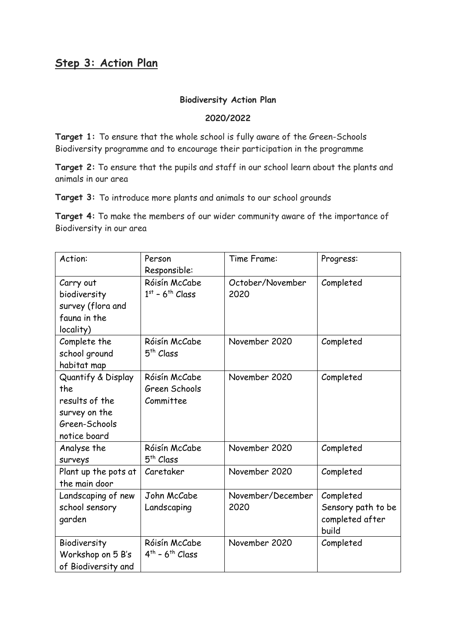## **Step 3: Action Plan**

## **Biodiversity Action Plan**

## **2020/2022**

**Target 1:** To ensure that the whole school is fully aware of the Green-Schools Biodiversity programme and to encourage their participation in the programme

**Target 2:** To ensure that the pupils and staff in our school learn about the plants and animals in our area

**Target 3:** To introduce more plants and animals to our school grounds

**Target 4:** To make the members of our wider community aware of the importance of Biodiversity in our area

| Action:              | Person                | Time Frame:       | Progress:          |
|----------------------|-----------------------|-------------------|--------------------|
|                      | Responsible:          |                   |                    |
| Carry out            | Róisín McCabe         | October/November  | Completed          |
| biodiversity         | $1st - 6th Class$     | 2020              |                    |
| survey (flora and    |                       |                   |                    |
| fauna in the         |                       |                   |                    |
| locality)            |                       |                   |                    |
| Complete the         | Róisín McCabe         | November 2020     | Completed          |
| school ground        | 5 <sup>th</sup> Class |                   |                    |
| habitat map          |                       |                   |                    |
| Quantify & Display   | Róisín McCabe         | November 2020     | Completed          |
| the                  | Green Schools         |                   |                    |
| results of the       | Committee             |                   |                    |
| survey on the        |                       |                   |                    |
| Green-Schools        |                       |                   |                    |
| notice board         |                       |                   |                    |
| Analyse the          | Róisín McCabe         | November 2020     | Completed          |
| <b>Surveys</b>       | 5 <sup>th</sup> Class |                   |                    |
| Plant up the pots at | Caretaker             | November 2020     | Completed          |
| the main door        |                       |                   |                    |
| Landscaping of new   | John McCabe           | November/December | Completed          |
| school sensory       | Landscaping           | 2020              | Sensory path to be |
| garden               |                       |                   | completed after    |
|                      |                       |                   | build              |
| Biodiversity         | Róisín McCabe         | November 2020     | Completed          |
| Workshop on 5 B's    | $4th - 6th Class$     |                   |                    |
| of Biodiversity and  |                       |                   |                    |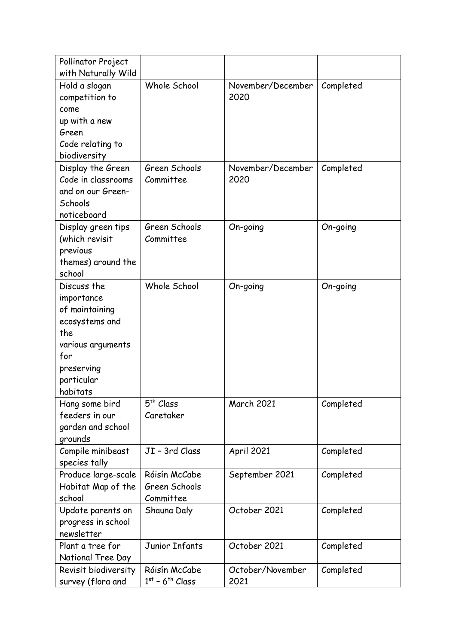| Pollinator Project               |                               |                   |           |
|----------------------------------|-------------------------------|-------------------|-----------|
| with Naturally Wild              |                               |                   |           |
| Hold a slogan                    | Whole School                  | November/December | Completed |
| competition to                   |                               | 2020              |           |
| come                             |                               |                   |           |
| up with a new                    |                               |                   |           |
| Green                            |                               |                   |           |
| Code relating to                 |                               |                   |           |
| biodiversity                     |                               |                   |           |
| Display the Green                | Green Schools                 | November/December | Completed |
| Code in classrooms               | Committee                     | 2020              |           |
| and on our Green-<br>Schools     |                               |                   |           |
| noticeboard                      |                               |                   |           |
| Display green tips               | Green Schools                 | On-going          | On-going  |
| (which revisit                   | Committee                     |                   |           |
| previous                         |                               |                   |           |
| themes) around the               |                               |                   |           |
| school                           |                               |                   |           |
| Discuss the                      | Whole School                  | On-going          | On-going  |
| importance                       |                               |                   |           |
| of maintaining                   |                               |                   |           |
| ecosystems and                   |                               |                   |           |
| the                              |                               |                   |           |
| various arguments                |                               |                   |           |
| for                              |                               |                   |           |
| preserving                       |                               |                   |           |
| particular                       |                               |                   |           |
| habitats                         |                               |                   |           |
| Hang some bird                   | 5 <sup>th</sup> Class         | <b>March 2021</b> | Completed |
| feeders in our                   | Caretaker                     |                   |           |
| garden and school                |                               |                   |           |
| grounds                          |                               |                   |           |
| Compile minibeast                | JI - 3rd Class                | <b>April 2021</b> | Completed |
| species tally                    |                               |                   |           |
| Produce large-scale              | Róisín McCabe                 | September 2021    | Completed |
| Habitat Map of the               | Green Schools                 |                   |           |
| school                           | Committee                     |                   |           |
| Update parents on                | Shauna Daly                   | October 2021      | Completed |
| progress in school<br>newsletter |                               |                   |           |
| Plant a tree for                 | Junior Infants                | October 2021      | Completed |
| National Tree Day                |                               |                   |           |
| Revisit biodiversity             | Róisín McCabe                 | October/November  | Completed |
| survey (flora and                | $1st$ - 6 <sup>th</sup> Class | 2021              |           |